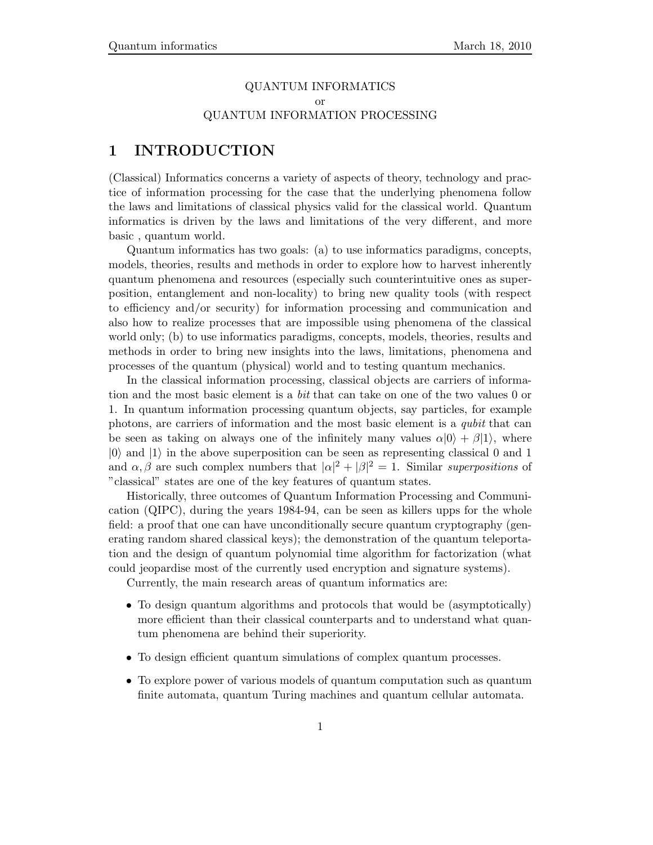## QUANTUM INFORMATICS or QUANTUM INFORMATION PROCESSING

## **1 INTRODUCTION**

(Classical) Informatics concerns a variety of aspects of theory, technology and practice of information processing for the case that the underlying phenomena follow the laws and limitations of classical physics valid for the classical world. Quantum informatics is driven by the laws and limitations of the very different, and more basic , quantum world.

Quantum informatics has two goals: (a) to use informatics paradigms, concepts, models, theories, results and methods in order to explore how to harvest inherently quantum phenomena and resources (especially such counterintuitive ones as superposition, entanglement and non-locality) to bring new quality tools (with respect to efficiency and/or security) for information processing and communication and also how to realize processes that are impossible using phenomena of the classical world only; (b) to use informatics paradigms, concepts, models, theories, results and methods in order to bring new insights into the laws, limitations, phenomena and processes of the quantum (physical) world and to testing quantum mechanics.

In the classical information processing, classical objects are carriers of information and the most basic element is a *bit* that can take on one of the two values 0 or 1. In quantum information processing quantum objects, say particles, for example photons, are carriers of information and the most basic element is a *qubit* that can be seen as taking on always one of the infinitely many values  $\alpha|0\rangle + \beta|1\rangle$ , where  $|0\rangle$  and  $|1\rangle$  in the above superposition can be seen as representing classical 0 and 1 and  $\alpha, \beta$  are such complex numbers that  $|\alpha|^2 + |\beta|^2 = 1$ . Similar *superpositions* of "classical" states are one of the key features of quantum states.

Historically, three outcomes of Quantum Information Processing and Communication (QIPC), during the years 1984-94, can be seen as killers upps for the whole field: a proof that one can have unconditionally secure quantum cryptography (generating random shared classical keys); the demonstration of the quantum teleportation and the design of quantum polynomial time algorithm for factorization (what could jeopardise most of the currently used encryption and signature systems).

Currently, the main research areas of quantum informatics are:

- To design quantum algorithms and protocols that would be (asymptotically) more efficient than their classical counterparts and to understand what quantum phenomena are behind their superiority.
- To design efficient quantum simulations of complex quantum processes.
- To explore power of various models of quantum computation such as quantum finite automata, quantum Turing machines and quantum cellular automata.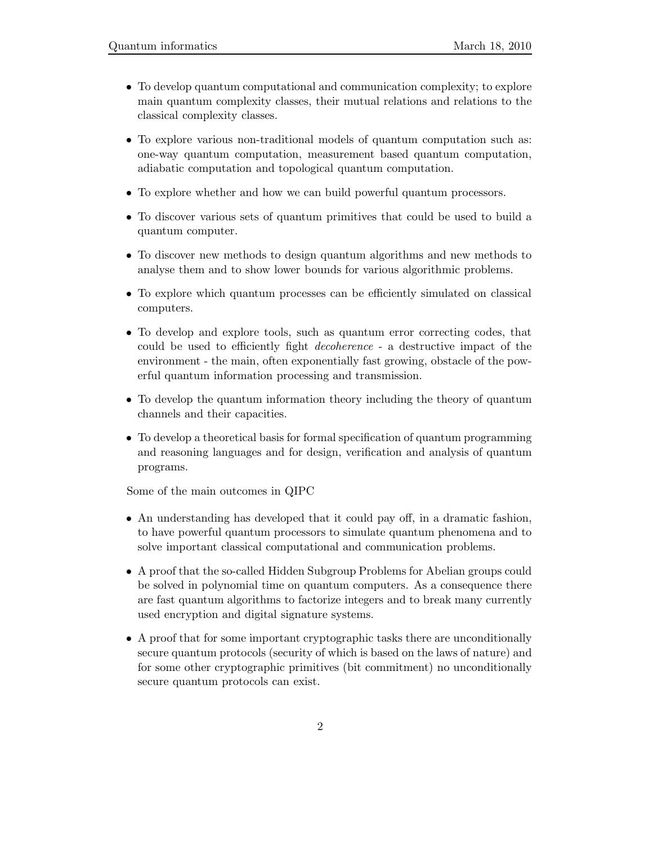- To develop quantum computational and communication complexity; to explore main quantum complexity classes, their mutual relations and relations to the classical complexity classes.
- To explore various non-traditional models of quantum computation such as: one-way quantum computation, measurement based quantum computation, adiabatic computation and topological quantum computation.
- To explore whether and how we can build powerful quantum processors.
- To discover various sets of quantum primitives that could be used to build a quantum computer.
- To discover new methods to design quantum algorithms and new methods to analyse them and to show lower bounds for various algorithmic problems.
- To explore which quantum processes can be efficiently simulated on classical computers.
- To develop and explore tools, such as quantum error correcting codes, that could be used to efficiently fight *decoherence* - a destructive impact of the environment - the main, often exponentially fast growing, obstacle of the powerful quantum information processing and transmission.
- To develop the quantum information theory including the theory of quantum channels and their capacities.
- To develop a theoretical basis for formal specification of quantum programming and reasoning languages and for design, verification and analysis of quantum programs.

Some of the main outcomes in QIPC

- An understanding has developed that it could pay off, in a dramatic fashion, to have powerful quantum processors to simulate quantum phenomena and to solve important classical computational and communication problems.
- A proof that the so-called Hidden Subgroup Problems for Abelian groups could be solved in polynomial time on quantum computers. As a consequence there are fast quantum algorithms to factorize integers and to break many currently used encryption and digital signature systems.
- A proof that for some important cryptographic tasks there are unconditionally secure quantum protocols (security of which is based on the laws of nature) and for some other cryptographic primitives (bit commitment) no unconditionally secure quantum protocols can exist.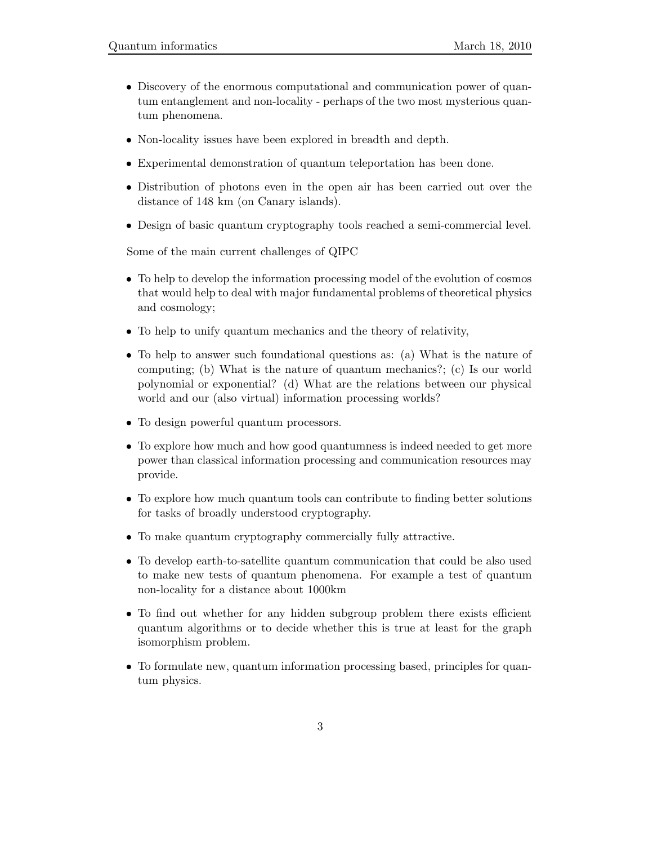- Discovery of the enormous computational and communication power of quantum entanglement and non-locality - perhaps of the two most mysterious quantum phenomena.
- Non-locality issues have been explored in breadth and depth.
- Experimental demonstration of quantum teleportation has been done.
- Distribution of photons even in the open air has been carried out over the distance of 148 km (on Canary islands).
- Design of basic quantum cryptography tools reached a semi-commercial level.

Some of the main current challenges of QIPC

- To help to develop the information processing model of the evolution of cosmos that would help to deal with major fundamental problems of theoretical physics and cosmology;
- To help to unify quantum mechanics and the theory of relativity,
- To help to answer such foundational questions as: (a) What is the nature of computing; (b) What is the nature of quantum mechanics?; (c) Is our world polynomial or exponential? (d) What are the relations between our physical world and our (also virtual) information processing worlds?
- To design powerful quantum processors.
- To explore how much and how good quantumness is indeed needed to get more power than classical information processing and communication resources may provide.
- To explore how much quantum tools can contribute to finding better solutions for tasks of broadly understood cryptography.
- To make quantum cryptography commercially fully attractive.
- To develop earth-to-satellite quantum communication that could be also used to make new tests of quantum phenomena. For example a test of quantum non-locality for a distance about 1000km
- To find out whether for any hidden subgroup problem there exists efficient quantum algorithms or to decide whether this is true at least for the graph isomorphism problem.
- To formulate new, quantum information processing based, principles for quantum physics.